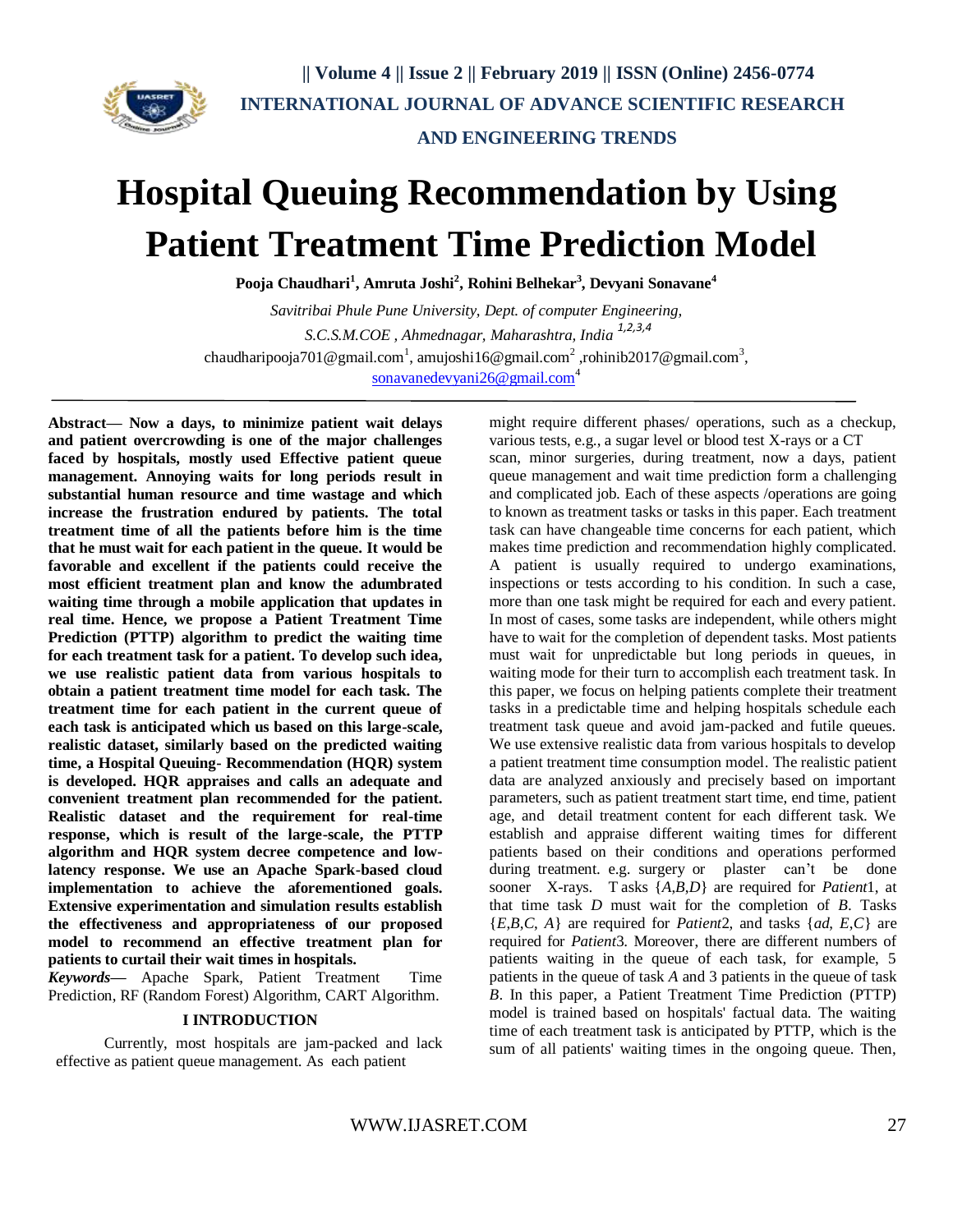

 **|| Volume 4 || Issue 2 || February 2019 || ISSN (Online) 2456-0774 INTERNATIONAL JOURNAL OF ADVANCE SCIENTIFIC RESEARCH** 

 **AND ENGINEERING TRENDS**

# **Hospital Queuing Recommendation by Using Patient Treatment Time Prediction Model**

**Pooja Chaudhari<sup>1</sup> , Amruta Joshi<sup>2</sup> , Rohini Belhekar<sup>3</sup> , Devyani Sonavane<sup>4</sup>**

*Savitribai Phule Pune University, Dept. of computer Engineering, S.C.S.M.COE , Ahmednagar, Maharashtra, India 1,2,3,4* [chaudharipooja701@gmail.com](mailto:chaudharipooja701@gmail.com)<sup>1</sup>, [amujoshi16@gmail.com](mailto:amujoshi16@gmail.com)<sup>2</sup>[,rohinib2017@gmail.com](mailto:rohinib2017@gmail.com)<sup>3</sup>, [sonavanedevyani26@gmail.com](mailto:sonavanedevyani26@gmail.com)<sup>4</sup>

**Abstract— Now a days, to minimize patient wait delays and patient overcrowding is one of the major challenges faced by hospitals, mostly used Effective patient queue management. Annoying waits for long periods result in substantial human resource and time wastage and which increase the frustration endured by patients. The total treatment time of all the patients before him is the time that he must wait for each patient in the queue. It would be favorable and excellent if the patients could receive the most efficient treatment plan and know the adumbrated waiting time through a mobile application that updates in real time. Hence, we propose a Patient Treatment Time Prediction (PTTP) algorithm to predict the waiting time for each treatment task for a patient. To develop such idea, we use realistic patient data from various hospitals to obtain a patient treatment time model for each task. The treatment time for each patient in the current queue of each task is anticipated which us based on this large-scale, realistic dataset, similarly based on the predicted waiting time, a Hospital Queuing- Recommendation (HQR) system is developed. HQR appraises and calls an adequate and convenient treatment plan recommended for the patient. Realistic dataset and the requirement for real-time response, which is result of the large-scale, the PTTP algorithm and HQR system decree competence and lowlatency response. We use an Apache Spark-based cloud implementation to achieve the aforementioned goals. Extensive experimentation and simulation results establish the effectiveness and [appropriateness](https://www.thesaurus.com/browse/appropriateness) of our proposed model to recommend an effective treatment plan for patients to curtail their wait times in hospitals.**

*Keywords***—** Apache Spark, Patient Treatment Time Prediction, RF (Random Forest) Algorithm, CART Algorithm.

# **I INTRODUCTION**

Currently, most hospitals are jam-packed and lack effective as patient queue management. As each patient

might require different phases/ operations, such as a checkup, various tests, e.g., a sugar level or blood test X-rays or a CT scan, minor surgeries, during treatment, now a days, patient queue management and wait time prediction form a challenging and complicated job. Each of these aspects /operations are going to known as treatment tasks or tasks in this paper. Each treatment task can have changeable time concerns for each patient, which makes time prediction and recommendation highly complicated. A patient is usually required to undergo examinations, inspections or tests according to his condition. In such a case, more than one task might be required for each and every patient. In most of cases, some tasks are independent, while others might have to wait for the completion of dependent tasks. Most patients must wait for unpredictable but long periods in queues, in waiting mode for their turn to accomplish each treatment task. In this paper, we focus on helping patients complete their treatment tasks in a predictable time and helping hospitals schedule each treatment task queue and avoid jam-packed and futile queues. We use extensive realistic data from various hospitals to develop a patient treatment time consumption model. The realistic patient data are analyzed anxiously and precisely based on important parameters, such as patient treatment start time, end time, patient age, and detail treatment content for each different task. We establish and appraise different waiting times for different patients based on their conditions and operations performed during treatment. e.g. surgery or plaster can't be done sooner X-rays. T asks {*A*,*B*,*D*} are required for *Patient*1, at that time task *D* must wait for the completion of *B*. Tasks {*E*,*B*,*C*, *A*} are required for *Patient*2, and tasks {*ad*, *E*,*C*} are required for *Patient*3. Moreover, there are different numbers of patients waiting in the queue of each task, for example, 5 patients in the queue of task *A* and 3 patients in the queue of task *B*. In this paper, a Patient Treatment Time Prediction (PTTP) model is trained based on hospitals' factual data. The waiting time of each treatment task is anticipated by PTTP, which is the sum of all patients' waiting times in the ongoing queue. Then,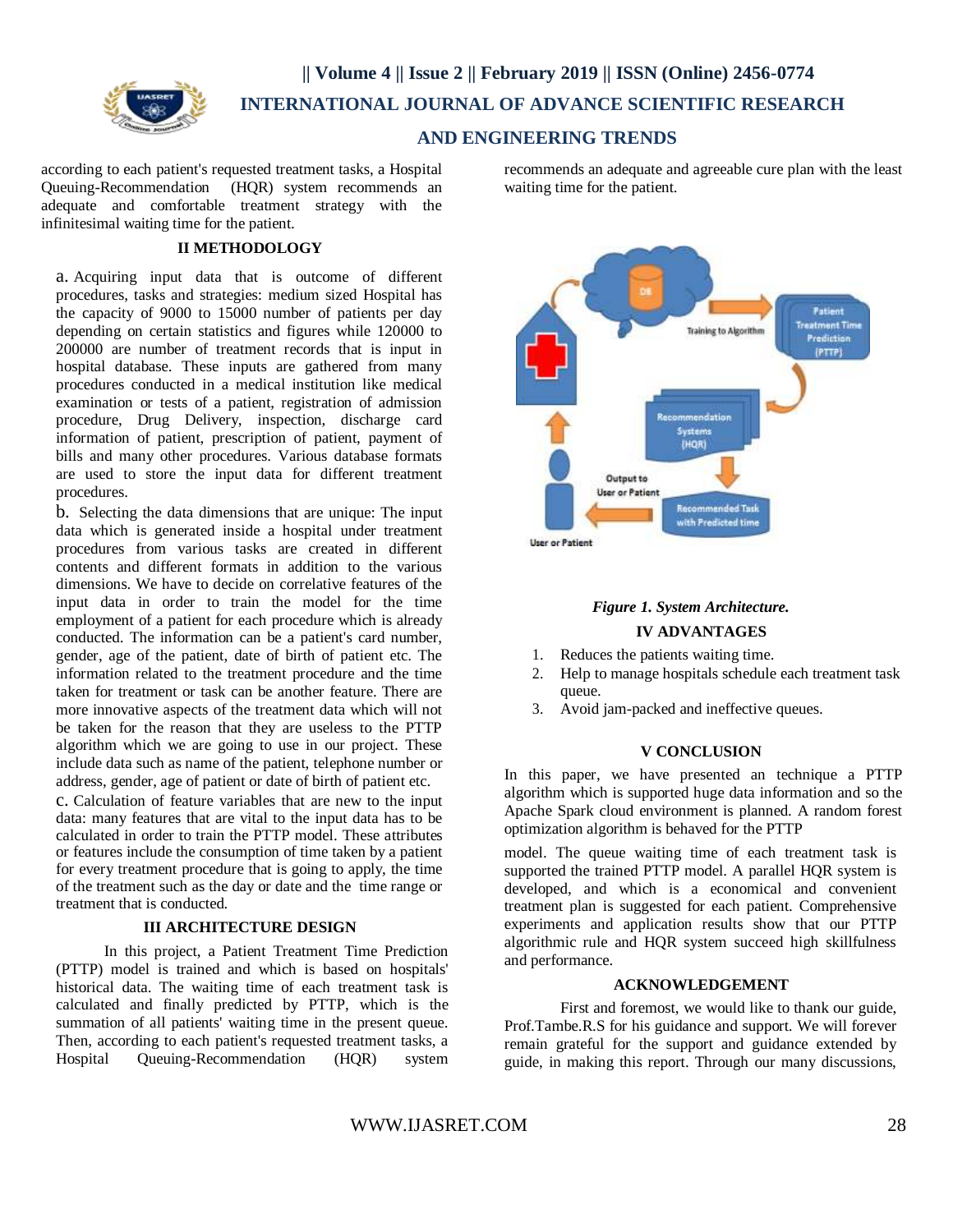

# **|| Volume 4 || Issue 2 || February 2019 || ISSN (Online) 2456-0774 INTERNATIONAL JOURNAL OF ADVANCE SCIENTIFIC RESEARCH**

# **AND ENGINEERING TRENDS**

according to each patient's requested treatment tasks, a Hospital Queuing-Recommendation (HQR) system recommends an adequate and comfortable treatment strategy with the infinitesimal waiting time for the patient.

### **II METHODOLOGY**

a. Acquiring input data that is outcome of different procedures, tasks and strategies: medium sized Hospital has the capacity of 9000 to 15000 number of patients per day depending on certain statistics and figures while 120000 to 200000 are number of treatment records that is input in hospital database. These inputs are gathered from many procedures conducted in a medical institution like medical examination or tests of a patient, registration of admission procedure, Drug Delivery, inspection, discharge card information of patient, prescription of patient, payment of bills and many other procedures. Various database formats are used to store the input data for different treatment procedures.

b. Selecting the data dimensions that are unique: The input data which is generated inside a hospital under treatment procedures from various tasks are created in different contents and different formats in addition to the various dimensions. We have to decide on correlative features of the input data in order to train the model for the time employment of a patient for each procedure which is already conducted. The information can be a patient's card number, gender, age of the patient, date of birth of patient etc. The information related to the treatment procedure and the time taken for treatment or task can be another feature. There are more innovative aspects of the treatment data which will not be taken for the reason that they are useless to the PTTP algorithm which we are going to use in our project. These include data such as name of the patient, telephone number or address, gender, age of patient or date of birth of patient etc.

c. Calculation of feature variables that are new to the input data: many features that are vital to the input data has to be calculated in order to train the PTTP model. These attributes or features include the consumption of time taken by a patient for every treatment procedure that is going to apply, the time of the treatment such as the day or date and the time range or treatment that is conducted.

### **III ARCHITECTURE DESIGN**

In this project, a Patient Treatment Time Prediction (PTTP) model is trained and which is based on hospitals' historical data. The waiting time of each treatment task is calculated and finally predicted by PTTP, which is the summation of all patients' waiting time in the present queue. Then, according to each patient's requested treatment tasks, a Hospital Queuing-Recommendation (HQR) system

recommends an adequate and agreeable cure plan with the least waiting time for the patient.



# *Figure 1. System Architecture.*

## **IV ADVANTAGES**

- 1. Reduces the patients waiting time.
- 2. Help to manage hospitals schedule each treatment task queue.
- 3. Avoid jam-packed and ineffective queues.

#### **V CONCLUSION**

In this paper, we have presented an technique a PTTP algorithm which is supported huge data information and so the Apache Spark cloud environment is planned. A random forest optimization algorithm is behaved for the PTTP

model. The queue waiting time of each treatment task is supported the trained PTTP model. A parallel HQR system is developed, and which is a economical and convenient treatment plan is suggested for each patient. Comprehensive experiments and application results show that our PTTP algorithmic rule and HQR system succeed high skillfulness and performance.

# **ACKNOWLEDGEMENT**

First and foremost, we would like to thank our guide, Prof.Tambe.R.S for his guidance and support. We will forever remain grateful for the support and guidance extended by guide, in making this report. Through our many discussions,